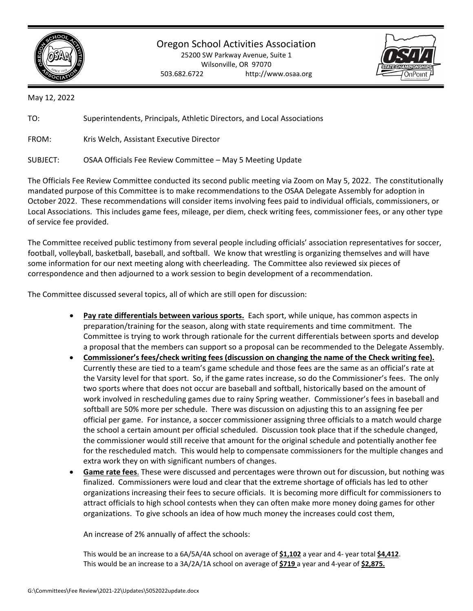

## Oregon School Activities Association

25200 SW Parkway Avenue, Suite 1 Wilsonville, OR 97070 503.682.6722 http://www.osaa.org



May 12, 2022

TO: Superintendents, Principals, Athletic Directors, and Local Associations

FROM: Kris Welch, Assistant Executive Director

SUBJECT: OSAA Officials Fee Review Committee – May 5 Meeting Update

The Officials Fee Review Committee conducted its second public meeting via Zoom on May 5, 2022. The constitutionally mandated purpose of this Committee is to make recommendations to the OSAA Delegate Assembly for adoption in October 2022. These recommendations will consider items involving fees paid to individual officials, commissioners, or Local Associations. This includes game fees, mileage, per diem, check writing fees, commissioner fees, or any other type of service fee provided.

The Committee received public testimony from several people including officials' association representatives for soccer, football, volleyball, basketball, baseball, and softball. We know that wrestling is organizing themselves and will have some information for our next meeting along with cheerleading. The Committee also reviewed six pieces of correspondence and then adjourned to a work session to begin development of a recommendation.

The Committee discussed several topics, all of which are still open for discussion:

- **Pay rate differentials between various sports.** Each sport, while unique, has common aspects in preparation/training for the season, along with state requirements and time commitment. The Committee is trying to work through rationale for the current differentials between sports and develop a proposal that the members can support so a proposal can be recommended to the Delegate Assembly.
- **Commissioner's fees/check writing fees (discussion on changing the name of the Check writing fee).** Currently these are tied to a team's game schedule and those fees are the same as an official's rate at the Varsity level for that sport. So, if the game rates increase, so do the Commissioner's fees. The only two sports where that does not occur are baseball and softball, historically based on the amount of work involved in rescheduling games due to rainy Spring weather. Commissioner's fees in baseball and softball are 50% more per schedule. There was discussion on adjusting this to an assigning fee per official per game. For instance, a soccer commissioner assigning three officials to a match would charge the school a certain amount per official scheduled. Discussion took place that if the schedule changed, the commissioner would still receive that amount for the original schedule and potentially another fee for the rescheduled match. This would help to compensate commissioners for the multiple changes and extra work they on with significant numbers of changes.
- **Game rate fees**. These were discussed and percentages were thrown out for discussion, but nothing was finalized. Commissioners were loud and clear that the extreme shortage of officials has led to other organizations increasing their fees to secure officials. It is becoming more difficult for commissioners to attract officials to high school contests when they can often make more money doing games for other organizations. To give schools an idea of how much money the increases could cost them,

An increase of 2% annually of affect the schools:

This would be an increase to a 6A/5A/4A school on average of **\$1,102** a year and 4- year total **\$4,412**. This would be an increase to a 3A/2A/1A school on average of **\$719** a year and 4-year of **\$2,875.**